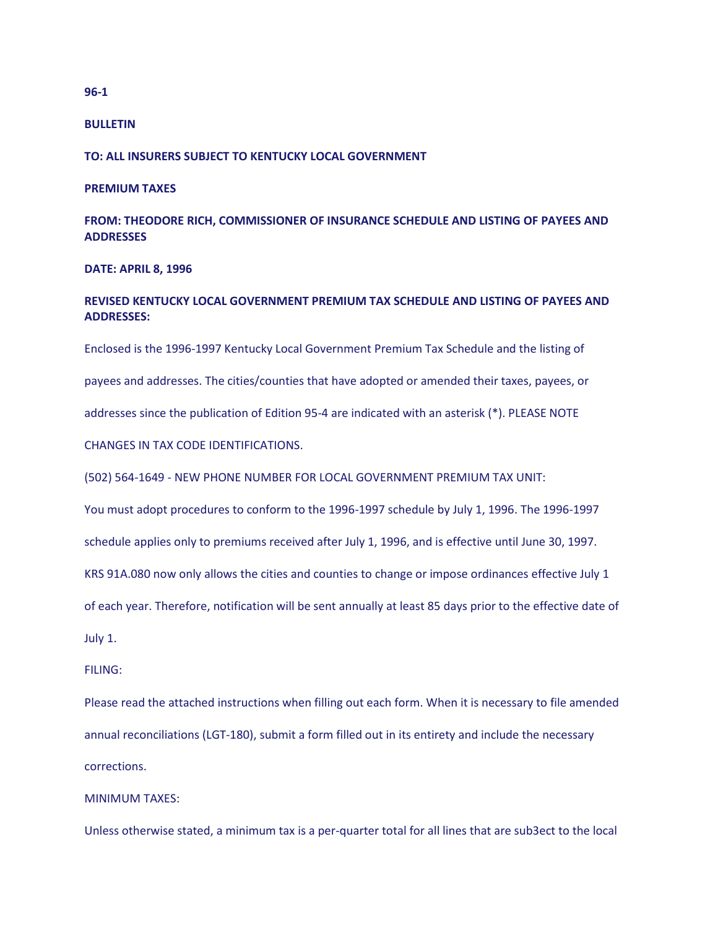#### **BULLETIN**

**TO: ALL INSURERS SUBJECT TO KENTUCKY LOCAL GOVERNMENT** 

## **PREMIUM TAXES**

**FROM: THEODORE RICH, COMMISSIONER OF INSURANCE SCHEDULE AND LISTING OF PAYEES AND ADDRESSES** 

## **DATE: APRIL 8, 1996**

# **REVISED KENTUCKY LOCAL GOVERNMENT PREMIUM TAX SCHEDULE AND LISTING OF PAYEES AND ADDRESSES:**

Enclosed is the 1996-1997 Kentucky Local Government Premium Tax Schedule and the listing of payees and addresses. The cities/counties that have adopted or amended their taxes, payees, or addresses since the publication of Edition 95-4 are indicated with an asterisk (\*). PLEASE NOTE CHANGES IN TAX CODE IDENTIFICATIONS.

(502) 564-1649 - NEW PHONE NUMBER FOR LOCAL GOVERNMENT PREMIUM TAX UNIT:

You must adopt procedures to conform to the 1996-1997 schedule by July 1, 1996. The 1996-1997

schedule applies only to premiums received after July 1, 1996, and is effective until June 30, 1997.

KRS 91A.080 now only allows the cities and counties to change or impose ordinances effective July 1

of each year. Therefore, notification will be sent annually at least 85 days prior to the effective date of

July 1.

# FILING:

Please read the attached instructions when filling out each form. When it is necessary to file amended annual reconciliations (LGT-180), submit a form filled out in its entirety and include the necessary corrections.

# MINIMUM TAXES:

Unless otherwise stated, a minimum tax is a per-quarter total for all lines that are sub3ect to the local

## **96-1**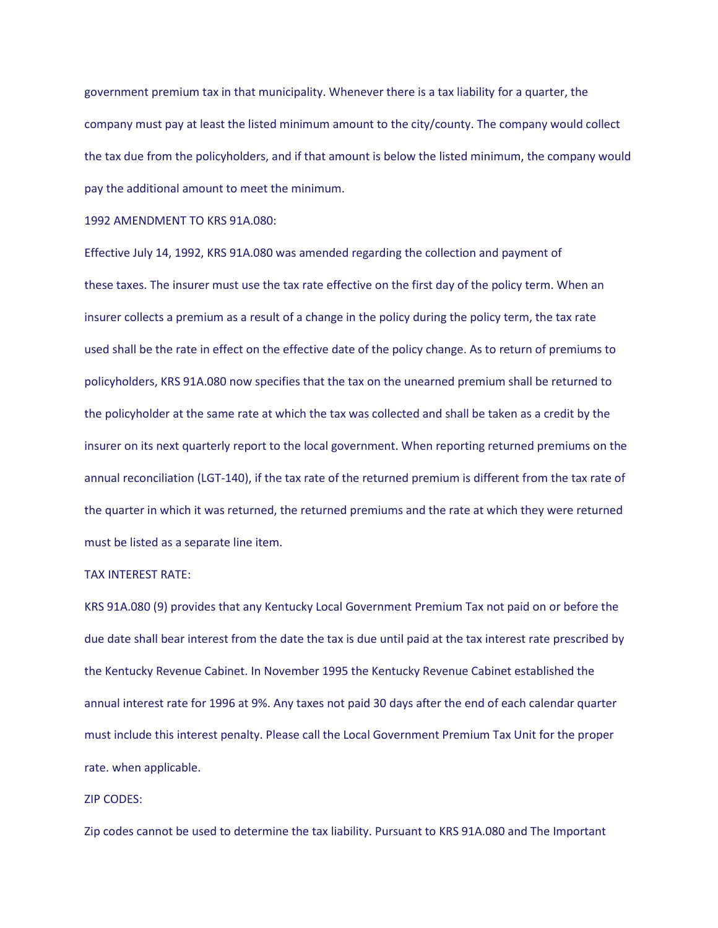government premium tax in that municipality. Whenever there is a tax liability for a quarter, the company must pay at least the listed minimum amount to the city/county. The company would collect the tax due from the policyholders, and if that amount is below the listed minimum, the company would pay the additional amount to meet the minimum.

1992 AMENDMENT TO KRS 91A.080:

Effective July 14, 1992, KRS 91A.080 was amended regarding the collection and payment of these taxes. The insurer must use the tax rate effective on the first day of the policy term. When an insurer collects a premium as a result of a change in the policy during the policy term, the tax rate used shall be the rate in effect on the effective date of the policy change. As to return of premiums to policyholders, KRS 91A.080 now specifies that the tax on the unearned premium shall be returned to the policyholder at the same rate at which the tax was collected and shall be taken as a credit by the insurer on its next quarterly report to the local government. When reporting returned premiums on the annual reconciliation (LGT-140), if the tax rate of the returned premium is different from the tax rate of the quarter in which it was returned, the returned premiums and the rate at which they were returned must be listed as a separate line item.

# TAX INTEREST RATE:

KRS 91A.080 (9) provides that any Kentucky Local Government Premium Tax not paid on or before the due date shall bear interest from the date the tax is due until paid at the tax interest rate prescribed by the Kentucky Revenue Cabinet. In November 1995 the Kentucky Revenue Cabinet established the annual interest rate for 1996 at 9%. Any taxes not paid 30 days after the end of each calendar quarter must include this interest penalty. Please call the Local Government Premium Tax Unit for the proper rate. when applicable.

## ZIP CODES:

Zip codes cannot be used to determine the tax liability. Pursuant to KRS 91A.080 and The Important